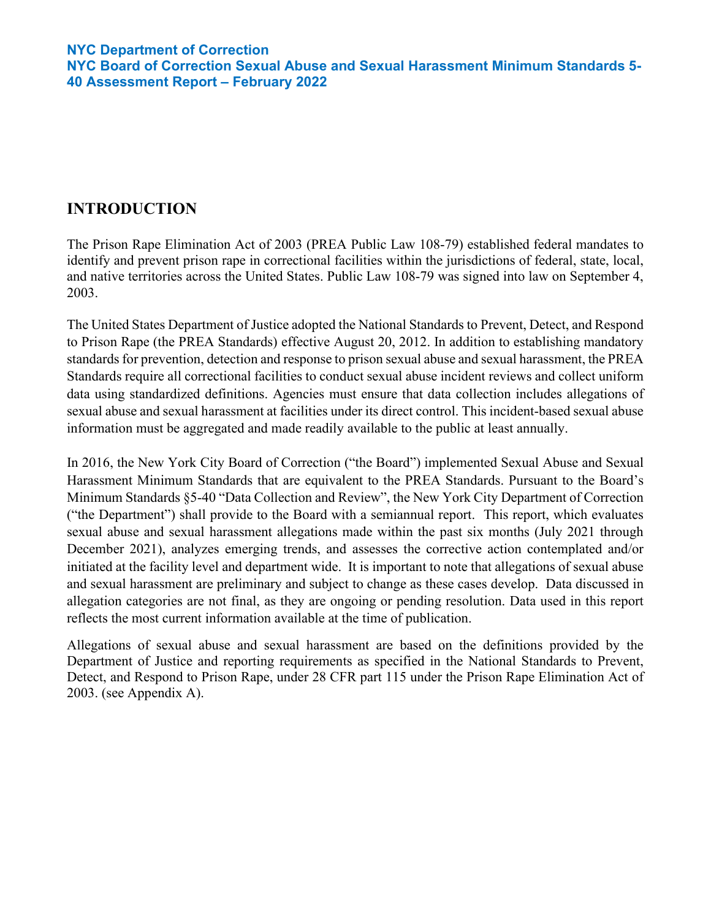# **INTRODUCTION**

The Prison Rape Elimination Act of 2003 (PREA Public Law 108-79) established federal mandates to identify and prevent prison rape in correctional facilities within the jurisdictions of federal, state, local, and native territories across the United States. Public Law 108-79 was signed into law on September 4, 2003.

The United States Department of Justice adopted the National Standards to Prevent, Detect, and Respond to Prison Rape (the PREA Standards) effective August 20, 2012. In addition to establishing mandatory standards for prevention, detection and response to prison sexual abuse and sexual harassment, the PREA Standards require all correctional facilities to conduct sexual abuse incident reviews and collect uniform data using standardized definitions. Agencies must ensure that data collection includes allegations of sexual abuse and sexual harassment at facilities under its direct control. This incident-based sexual abuse information must be aggregated and made readily available to the public at least annually.

In 2016, the New York City Board of Correction ("the Board") implemented Sexual Abuse and Sexual Harassment Minimum Standards that are equivalent to the PREA Standards. Pursuant to the Board's Minimum Standards §5-40 "Data Collection and Review", the New York City Department of Correction ("the Department") shall provide to the Board with a semiannual report. This report, which evaluates sexual abuse and sexual harassment allegations made within the past six months (July 2021 through December 2021), analyzes emerging trends, and assesses the corrective action contemplated and/or initiated at the facility level and department wide. It is important to note that allegations of sexual abuse and sexual harassment are preliminary and subject to change as these cases develop. Data discussed in allegation categories are not final, as they are ongoing or pending resolution. Data used in this report reflects the most current information available at the time of publication.

Allegations of sexual abuse and sexual harassment are based on the definitions provided by the Department of Justice and reporting requirements as specified in the National Standards to Prevent, Detect, and Respond to Prison Rape, under 28 CFR part 115 under the Prison Rape Elimination Act of 2003. (see Appendix A).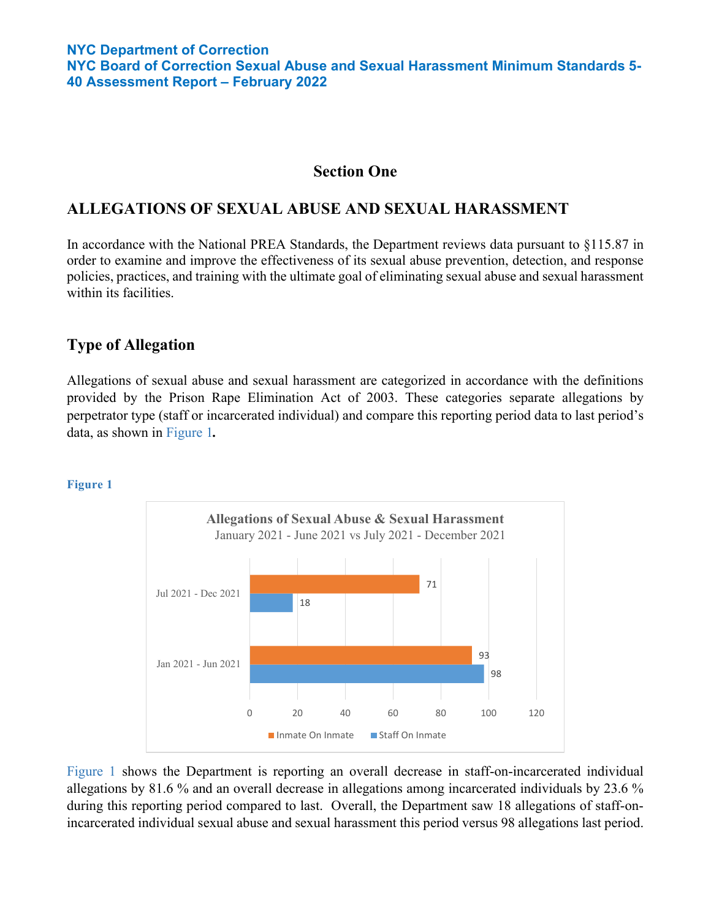### **Section One**

## **ALLEGATIONS OF SEXUAL ABUSE AND SEXUAL HARASSMENT**

In accordance with the National PREA Standards, the Department reviews data pursuant to §115.87 in order to examine and improve the effectiveness of its sexual abuse prevention, detection, and response policies, practices, and training with the ultimate goal of eliminating sexual abuse and sexual harassment within its facilities.

## **Type of Allegation**

Allegations of sexual abuse and sexual harassment are categorized in accordance with the definitions provided by the Prison Rape Elimination Act of 2003. These categories separate allegations by perpetrator type (staff or incarcerated individual) and compare this reporting period data to last period's data, as shown in Figure 1*.* 

#### **Figure 1**



Figure 1 shows the Department is reporting an overall decrease in staff-on-incarcerated individual allegations by 81.6 % and an overall decrease in allegations among incarcerated individuals by 23.6 % during this reporting period compared to last. Overall, the Department saw 18 allegations of staff-onincarcerated individual sexual abuse and sexual harassment this period versus 98 allegations last period.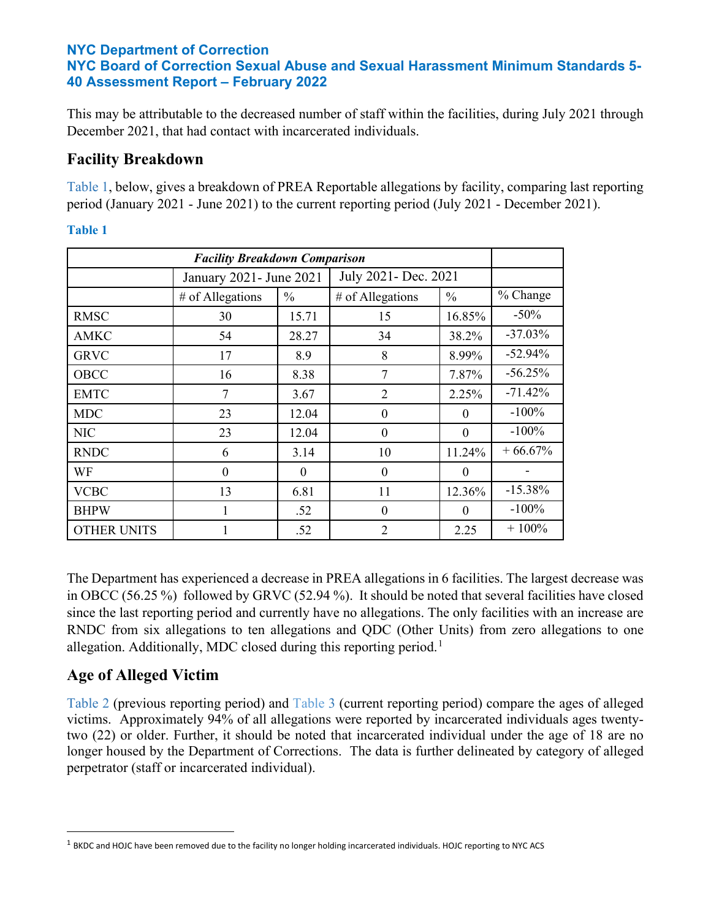This may be attributable to the decreased number of staff within the facilities, during July 2021 through December 2021, that had contact with incarcerated individuals.

# **Facility Breakdown**

Table 1, below, gives a breakdown of PREA Reportable allegations by facility, comparing last reporting period (January 2021 - June 2021) to the current reporting period (July 2021 - December 2021).

| <b>Facility Breakdown Comparison</b> |                          |          |                      |               |            |
|--------------------------------------|--------------------------|----------|----------------------|---------------|------------|
|                                      | January 2021 - June 2021 |          | July 2021- Dec. 2021 |               |            |
|                                      | # of Allegations         | $\%$     | # of Allegations     | $\frac{0}{0}$ | % Change   |
| <b>RMSC</b>                          | 30                       | 15.71    | 15                   | 16.85%        | $-50\%$    |
| AMKC                                 | 54                       | 28.27    | 34                   | 38.2%         | $-37.03%$  |
| <b>GRVC</b>                          | 17                       | 8.9      | 8                    | 8.99%         | $-52.94\%$ |
| OBCC                                 | 16                       | 8.38     | 7                    | 7.87%         | $-56.25%$  |
| <b>EMTC</b>                          | 7                        | 3.67     | $\overline{2}$       | 2.25%         | $-71.42%$  |
| <b>MDC</b>                           | 23                       | 12.04    | $\theta$             | $\Omega$      | $-100%$    |
| <b>NIC</b>                           | 23                       | 12.04    | $\theta$             | $\Omega$      | $-100%$    |
| <b>RNDC</b>                          | 6                        | 3.14     | 10                   | 11.24%        | $+66.67%$  |
| WF                                   | $\Omega$                 | $\theta$ | $\theta$             | $\theta$      |            |
| <b>VCBC</b>                          | 13                       | 6.81     | 11                   | 12.36%        | $-15.38%$  |
| <b>BHPW</b>                          | 1                        | .52      | $\theta$             | $\Omega$      | $-100%$    |
| <b>OTHER UNITS</b>                   |                          | .52      | $\overline{2}$       | 2.25          | $+100%$    |

**Table 1**

The Department has experienced a decrease in PREA allegations in 6 facilities. The largest decrease was in OBCC (56.25 %) followed by GRVC (52.94 %). It should be noted that several facilities have closed since the last reporting period and currently have no allegations. The only facilities with an increase are RNDC from six allegations to ten allegations and QDC (Other Units) from zero allegations to one allegation. Additionally, MDC closed during this reporting period.<sup>[1](#page-2-0)</sup>

# **Age of Alleged Victim**

Table 2 (previous reporting period) and Table 3 (current reporting period) compare the ages of alleged victims. Approximately 94% of all allegations were reported by incarcerated individuals ages twentytwo (22) or older. Further, it should be noted that incarcerated individual under the age of 18 are no longer housed by the Department of Corrections. The data is further delineated by category of alleged perpetrator (staff or incarcerated individual).

<span id="page-2-0"></span> $1$  BKDC and HOJC have been removed due to the facility no longer holding incarcerated individuals. HOJC reporting to NYC ACS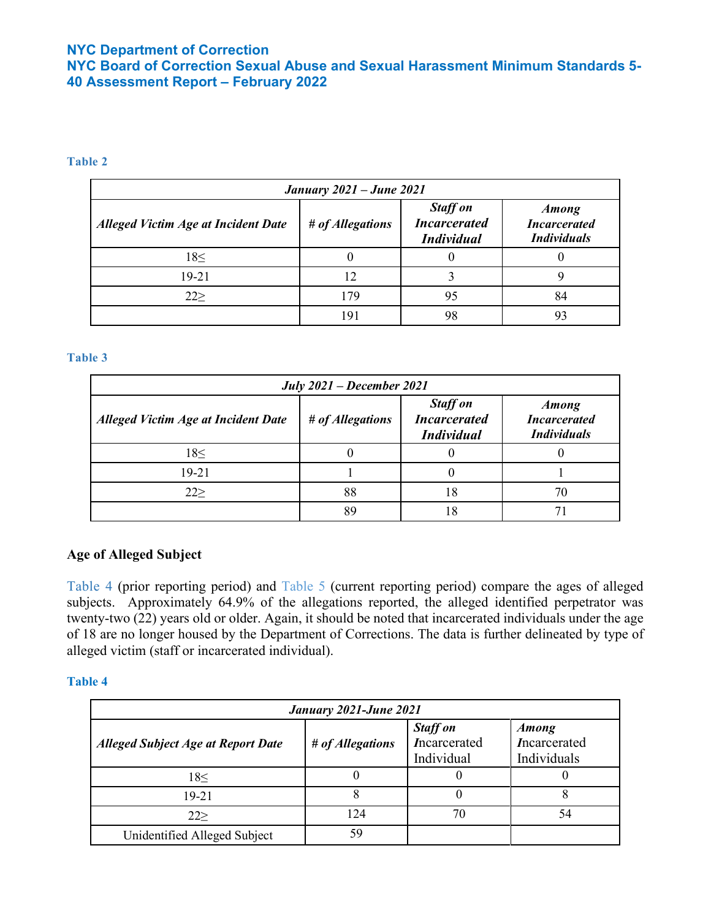**NYC Board of Correction Sexual Abuse and Sexual Harassment Minimum Standards 5- 40 Assessment Report – February 2022**

#### **Table 2**

| <b>January 2021 – June 2021</b>            |                  |                                                             |                                                           |  |
|--------------------------------------------|------------------|-------------------------------------------------------------|-----------------------------------------------------------|--|
| <b>Alleged Victim Age at Incident Date</b> | # of Allegations | <b>Staff on</b><br><b>Incarcerated</b><br><b>Individual</b> | <b>Among</b><br><b>Incarcerated</b><br><b>Individuals</b> |  |
| 18<                                        |                  |                                                             |                                                           |  |
| 19-21                                      | 12               |                                                             |                                                           |  |
| 22                                         | 179              | 95                                                          | 84                                                        |  |
|                                            | 191              | 98                                                          | 93                                                        |  |

#### **Table 3**

| <b>July 2021 – December 2021</b>           |                  |                                                             |                                                           |  |
|--------------------------------------------|------------------|-------------------------------------------------------------|-----------------------------------------------------------|--|
| <b>Alleged Victim Age at Incident Date</b> | # of Allegations | <b>Staff on</b><br><b>Incarcerated</b><br><b>Individual</b> | <b>Among</b><br><b>Incarcerated</b><br><b>Individuals</b> |  |
| 18<                                        |                  |                                                             |                                                           |  |
| 19-21                                      |                  |                                                             |                                                           |  |
| 22                                         | 88               | 18                                                          | 70                                                        |  |
|                                            | 89               | 8                                                           |                                                           |  |

### **Age of Alleged Subject**

Table 4 (prior reporting period) and Table 5 (current reporting period) compare the ages of alleged subjects. Approximately 64.9% of the allegations reported, the alleged identified perpetrator was twenty-two (22) years old or older. Again, it should be noted that incarcerated individuals under the age of 18 are no longer housed by the Department of Corrections. The data is further delineated by type of alleged victim (staff or incarcerated individual).

| January 2021-June 2021                    |                  |                                               |                                             |  |
|-------------------------------------------|------------------|-----------------------------------------------|---------------------------------------------|--|
| <b>Alleged Subject Age at Report Date</b> | # of Allegations | <b>Staff on</b><br>Incarcerated<br>Individual | <b>Among</b><br>Incarcerated<br>Individuals |  |
| 18<                                       |                  |                                               |                                             |  |
| 19-21                                     |                  |                                               |                                             |  |
| 22                                        | 124              | 70                                            | 54                                          |  |
| Unidentified Alleged Subject              | 59               |                                               |                                             |  |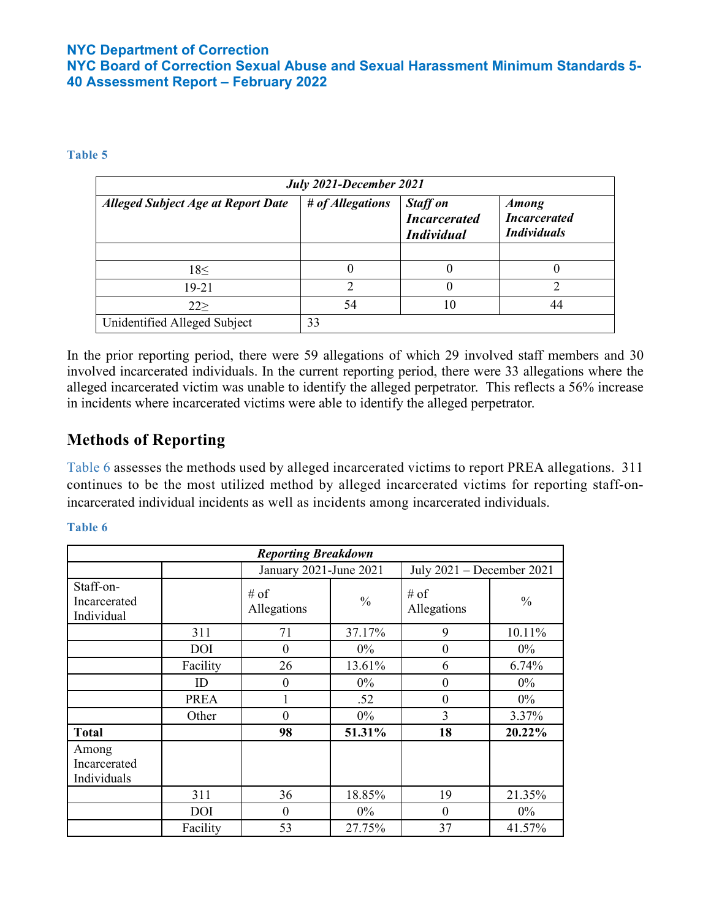**NYC Board of Correction Sexual Abuse and Sexual Harassment Minimum Standards 5- 40 Assessment Report – February 2022**

#### **Table 5**

| July 2021-December 2021                   |                  |                                                             |                                                           |  |
|-------------------------------------------|------------------|-------------------------------------------------------------|-----------------------------------------------------------|--|
| <b>Alleged Subject Age at Report Date</b> | # of Allegations | <b>Staff on</b><br><b>Incarcerated</b><br><b>Individual</b> | <b>Among</b><br><b>Incarcerated</b><br><b>Individuals</b> |  |
|                                           |                  |                                                             |                                                           |  |
| 18<                                       | O                |                                                             |                                                           |  |
| 19-21                                     | っ                |                                                             | ∍                                                         |  |
| 222                                       | 54               | 10                                                          | 44                                                        |  |
| Unidentified Alleged Subject              | 33               |                                                             |                                                           |  |

In the prior reporting period, there were 59 allegations of which 29 involved staff members and 30 involved incarcerated individuals. In the current reporting period, there were 33 allegations where the alleged incarcerated victim was unable to identify the alleged perpetrator. This reflects a 56% increase in incidents where incarcerated victims were able to identify the alleged perpetrator.

# **Methods of Reporting**

Table 6 assesses the methods used by alleged incarcerated victims to report PREA allegations. 311 continues to be the most utilized method by alleged incarcerated victims for reporting staff-onincarcerated individual incidents as well as incidents among incarcerated individuals.

| <b>Reporting Breakdown</b>              |            |                        |               |                           |               |
|-----------------------------------------|------------|------------------------|---------------|---------------------------|---------------|
|                                         |            | January 2021-June 2021 |               | July 2021 - December 2021 |               |
| Staff-on-<br>Incarcerated<br>Individual |            | # of<br>Allegations    | $\frac{0}{0}$ | # of<br>Allegations       | $\frac{0}{0}$ |
|                                         | 311        | 71                     | 37.17%        | 9                         | 10.11%        |
|                                         | <b>DOI</b> | $\Omega$               | $0\%$         | $\theta$                  | $0\%$         |
|                                         | Facility   | 26                     | 13.61%        | 6                         | 6.74%         |
|                                         | ID         | $\boldsymbol{0}$       | $0\%$         | $\theta$                  | $0\%$         |
|                                         | PREA       |                        | .52           | $\theta$                  | $0\%$         |
|                                         | Other      | $\theta$               | $0\%$         | 3                         | 3.37%         |
| <b>Total</b>                            |            | 98                     | 51.31%        | 18                        | 20.22%        |
| Among<br>Incarcerated<br>Individuals    |            |                        |               |                           |               |
|                                         | 311        | 36                     | 18.85%        | 19                        | 21.35%        |
|                                         | DOI        | $\Omega$               | $0\%$         | $\theta$                  | $0\%$         |
|                                         | Facility   | 53                     | 27.75%        | 37                        | 41.57%        |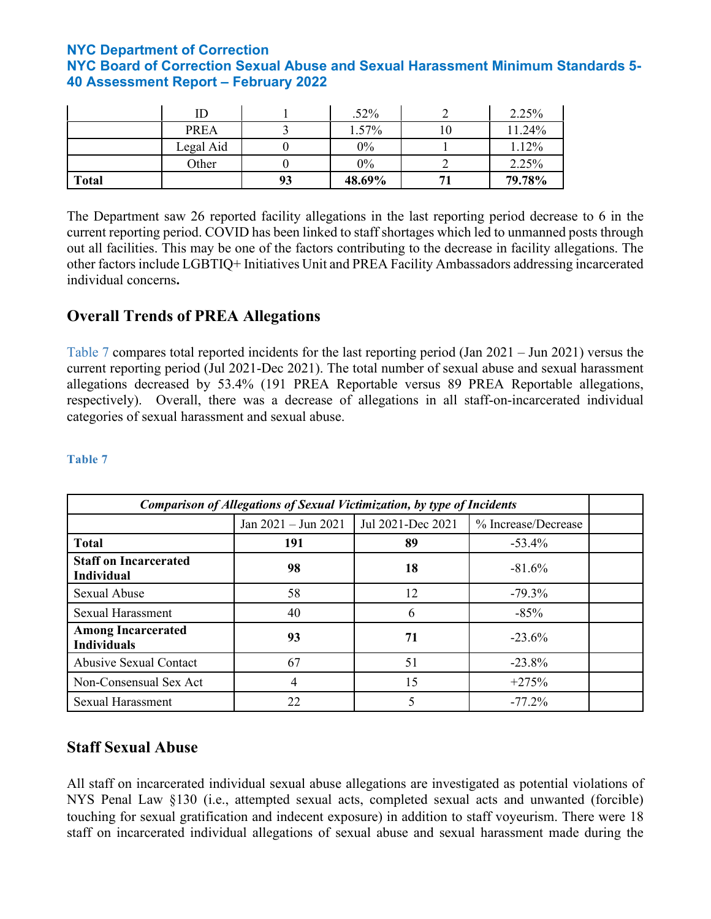|              | ID          |    | $.52\%$ | 2.25%  |
|--------------|-------------|----|---------|--------|
|              | <b>PREA</b> |    | 1.57%   | 11.24% |
|              | Legal Aid   |    | 0%      | 1.12%  |
|              | Other       |    | 0%      | 2.25%  |
| <b>Total</b> |             | 93 | 48.69%  | 79.78% |

The Department saw 26 reported facility allegations in the last reporting period decrease to 6 in the current reporting period. COVID has been linked to staff shortages which led to unmanned posts through out all facilities. This may be one of the factors contributing to the decrease in facility allegations. The other factors include LGBTIQ+ Initiatives Unit and PREA Facility Ambassadors addressing incarcerated individual concerns**.** 

## **Overall Trends of PREA Allegations**

Table 7 compares total reported incidents for the last reporting period (Jan 2021 – Jun 2021) versus the current reporting period (Jul 2021-Dec 2021). The total number of sexual abuse and sexual harassment allegations decreased by 53.4% (191 PREA Reportable versus 89 PREA Reportable allegations, respectively). Overall, there was a decrease of allegations in all staff-on-incarcerated individual categories of sexual harassment and sexual abuse.

#### **Table 7**

| <b>Comparison of Allegations of Sexual Victimization, by type of Incidents</b> |                               |                   |                     |  |  |
|--------------------------------------------------------------------------------|-------------------------------|-------------------|---------------------|--|--|
|                                                                                | Jan $2021 - \text{Jun } 2021$ | Jul 2021-Dec 2021 | % Increase/Decrease |  |  |
| <b>Total</b>                                                                   | 191                           | 89                | $-53.4\%$           |  |  |
| <b>Staff on Incarcerated</b><br><b>Individual</b>                              | 98                            | 18                | $-81.6%$            |  |  |
| <b>Sexual Abuse</b>                                                            | 58                            | 12                | $-79.3\%$           |  |  |
| <b>Sexual Harassment</b>                                                       | 40                            | 6                 | $-85%$              |  |  |
| <b>Among Incarcerated</b><br><b>Individuals</b>                                | 93                            | 71                | $-23.6%$            |  |  |
| <b>Abusive Sexual Contact</b>                                                  | 67                            | 51                | $-23.8\%$           |  |  |
| Non-Consensual Sex Act                                                         | 4                             | 15                | $+275%$             |  |  |
| <b>Sexual Harassment</b>                                                       | 22                            |                   | $-77.2\%$           |  |  |

## **Staff Sexual Abuse**

All staff on incarcerated individual sexual abuse allegations are investigated as potential violations of NYS Penal Law §130 (i.e., attempted sexual acts, completed sexual acts and unwanted (forcible) touching for sexual gratification and indecent exposure) in addition to staff voyeurism. There were 18 staff on incarcerated individual allegations of sexual abuse and sexual harassment made during the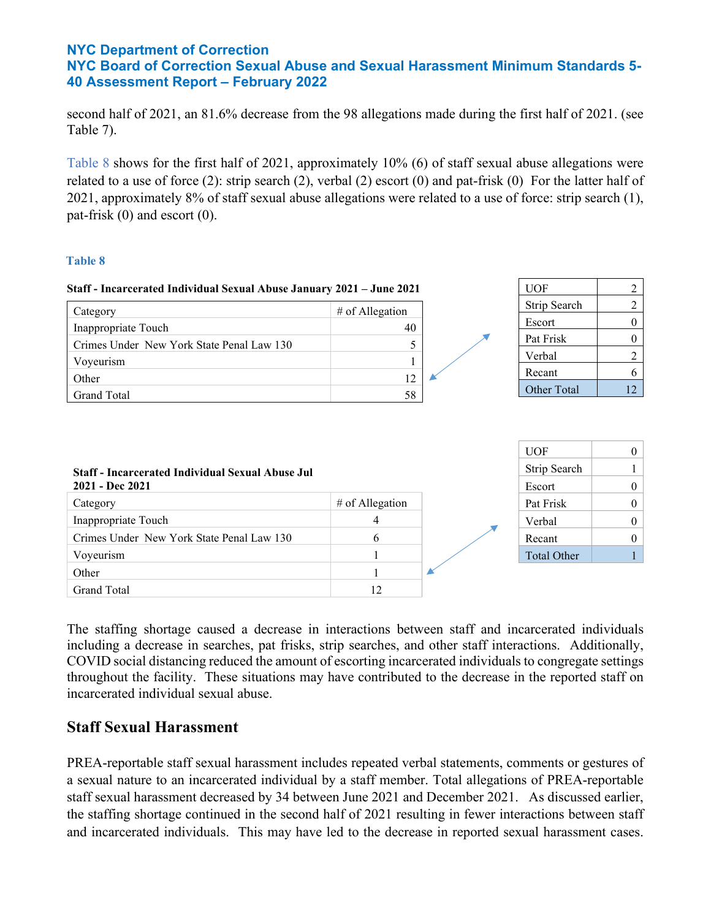second half of 2021, an 81.6% decrease from the 98 allegations made during the first half of 2021. (see Table 7).

Table 8 shows for the first half of 2021, approximately 10% (6) of staff sexual abuse allegations were related to a use of force (2): strip search (2), verbal (2) escort (0) and pat-frisk (0) For the latter half of 2021, approximately 8% of staff sexual abuse allegations were related to a use of force: strip search (1), pat-frisk (0) and escort (0).

#### **Table 8**

| Staff - Incarcerated Individual Sexual Abuse January 2021 - June 2021      |                   | <b>UOF</b>             |                |
|----------------------------------------------------------------------------|-------------------|------------------------|----------------|
| Category                                                                   | # of Allegation   | Strip Search           |                |
| Inappropriate Touch                                                        | 40                | Escort                 | $\theta$       |
| Crimes Under New York State Penal Law 130                                  |                   | Pat Frisk              | $\theta$       |
|                                                                            |                   | Verbal                 | $\mathfrak{D}$ |
| Voyeurism                                                                  | 12                | Recant                 | 6              |
| Other<br><b>Grand Total</b>                                                | 58                | Other Total            | 12             |
|                                                                            |                   |                        |                |
|                                                                            |                   | <b>UOF</b>             | $\Omega$       |
| <b>Staff - Incarcerated Individual Sexual Abuse Jul</b><br>2021 - Dec 2021 |                   | Strip Search<br>Escort | $\Omega$       |
| Category                                                                   | $#$ of Allegation | Pat Frisk              | $\theta$       |
| T. T. 1                                                                    | $\overline{A}$    | <b>TT</b> 1 1          | $\sim$         |

| Category                                  | $#$ of Allegation | Pat Frisk   |  |
|-------------------------------------------|-------------------|-------------|--|
| Inappropriate Touch                       |                   | Verbal      |  |
| Crimes Under New York State Penal Law 130 |                   | Recant      |  |
| Voyeurism                                 |                   | Total Other |  |
| Other                                     |                   |             |  |
| <b>Grand Total</b>                        | 12                |             |  |

The staffing shortage caused a decrease in interactions between staff and incarcerated individuals including a decrease in searches, pat frisks, strip searches, and other staff interactions. Additionally, COVID social distancing reduced the amount of escorting incarcerated individuals to congregate settings throughout the facility. These situations may have contributed to the decrease in the reported staff on incarcerated individual sexual abuse.

## **Staff Sexual Harassment**

PREA-reportable staff sexual harassment includes repeated verbal statements, comments or gestures of a sexual nature to an incarcerated individual by a staff member. Total allegations of PREA-reportable staff sexual harassment decreased by 34 between June 2021 and December 2021. As discussed earlier, the staffing shortage continued in the second half of 2021 resulting in fewer interactions between staff and incarcerated individuals. This may have led to the decrease in reported sexual harassment cases.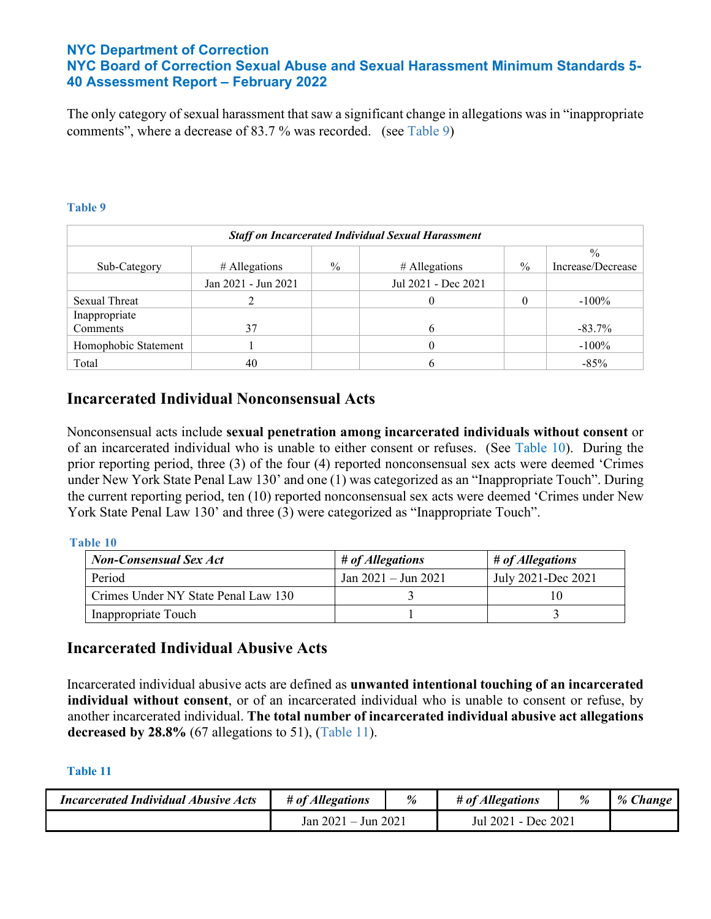The only category of sexual harassment that saw a significant change in allegations was in "inappropriate comments", where a decrease of 83.7 % was recorded. (see Table 9)

#### **Table 9**

| <b>Staff on Incarcerated Individual Sexual Harassment</b> |                     |               |                     |      |                                    |
|-----------------------------------------------------------|---------------------|---------------|---------------------|------|------------------------------------|
| Sub-Category                                              | $#$ Allegations     | $\frac{0}{0}$ | # Allegations       | $\%$ | $\frac{0}{0}$<br>Increase/Decrease |
|                                                           | Jan 2021 - Jun 2021 |               | Jul 2021 - Dec 2021 |      |                                    |
| <b>Sexual Threat</b>                                      |                     |               |                     |      | $-100\%$                           |
| Inappropriate                                             |                     |               |                     |      |                                    |
| Comments                                                  | 37                  |               |                     |      | $-83.7\%$                          |
| Homophobic Statement                                      |                     |               |                     |      | $-100\%$                           |
| Total                                                     | 40                  |               |                     |      | $-85%$                             |

## **Incarcerated Individual Nonconsensual Acts**

Nonconsensual acts include **sexual penetration among incarcerated individuals without consent** or of an incarcerated individual who is unable to either consent or refuses. (See Table 10). During the prior reporting period, three (3) of the four (4) reported nonconsensual sex acts were deemed 'Crimes under New York State Penal Law 130' and one (1) was categorized as an "Inappropriate Touch". During the current reporting period, ten (10) reported nonconsensual sex acts were deemed 'Crimes under New York State Penal Law 130' and three (3) were categorized as "Inappropriate Touch".

#### **Table 10**

| <b>Non-Consensual Sex Act</b>       | # of Allegations        | # of Allegations   |
|-------------------------------------|-------------------------|--------------------|
| Period                              | Jan $2021 -$ Jun $2021$ | July 2021-Dec 2021 |
| Crimes Under NY State Penal Law 130 |                         |                    |
| Inappropriate Touch                 |                         |                    |

### **Incarcerated Individual Abusive Acts**

Incarcerated individual abusive acts are defined as **unwanted intentional touching of an incarcerated individual without consent**, or of an incarcerated individual who is unable to consent or refuse, by another incarcerated individual. **The total number of incarcerated individual abusive act allegations decreased by 28.8%** (67 allegations to 51), (Table 11).

| <i>Incarcerated Individual Abusive Acts</i> | # of Allegations         | % | # of Allegations       | % | % Change |
|---------------------------------------------|--------------------------|---|------------------------|---|----------|
|                                             | $-$ Jun 2021<br>Jan 2021 |   | - Dec 2021<br>Jul 2021 |   |          |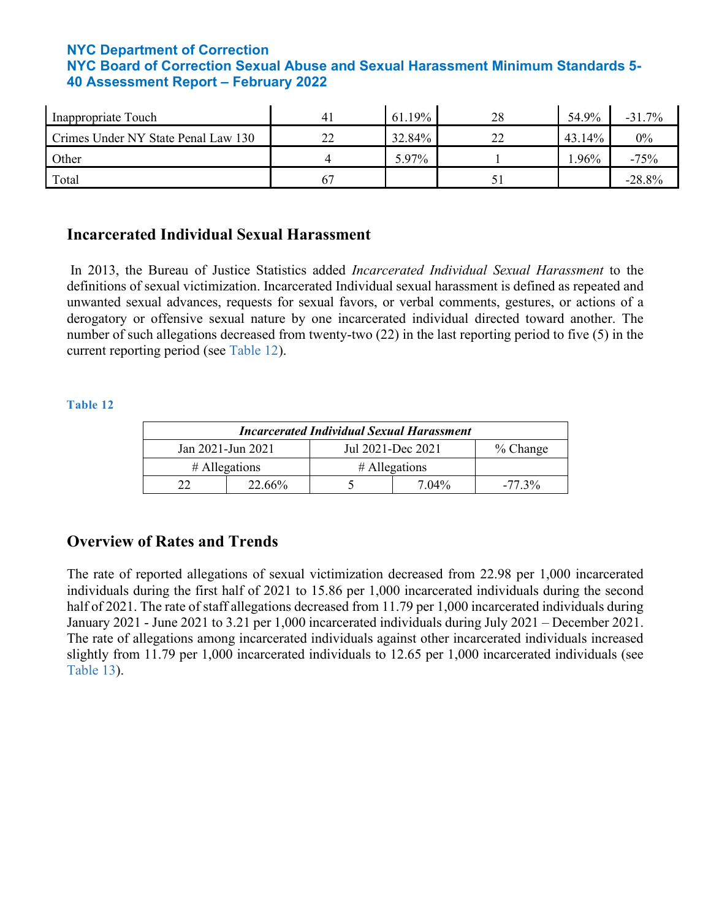| Inappropriate Touch                 | 61.19% | 28 | 54.9%  | $-31.7%$ |
|-------------------------------------|--------|----|--------|----------|
| Crimes Under NY State Penal Law 130 | 32.84% |    | 43.14% | $0\%$    |
| Other                               | 5.97%  |    | .96%   | $-75%$   |
| Total                               |        |    |        | $-28.8%$ |

## **Incarcerated Individual Sexual Harassment**

In 2013, the Bureau of Justice Statistics added *Incarcerated Individual Sexual Harassment* to the definitions of sexual victimization. Incarcerated Individual sexual harassment is defined as repeated and unwanted sexual advances, requests for sexual favors, or verbal comments, gestures, or actions of a derogatory or offensive sexual nature by one incarcerated individual directed toward another. The number of such allegations decreased from twenty-two (22) in the last reporting period to five (5) in the current reporting period (see Table 12).

#### **Table 12**

| <b>Incarcerated Individual Sexual Harassment</b>   |                                    |  |       |           |  |  |  |
|----------------------------------------------------|------------------------------------|--|-------|-----------|--|--|--|
| Jul 2021-Dec 2021<br>Jan 2021-Jun 2021<br>% Change |                                    |  |       |           |  |  |  |
|                                                    | $#$ Allegations<br>$#$ Allegations |  |       |           |  |  |  |
|                                                    | 22.66%                             |  | 7.04% | $-77.3\%$ |  |  |  |

## **Overview of Rates and Trends**

The rate of reported allegations of sexual victimization decreased from 22.98 per 1,000 incarcerated individuals during the first half of 2021 to 15.86 per 1,000 incarcerated individuals during the second half of 2021. The rate of staff allegations decreased from 11.79 per 1,000 incarcerated individuals during January 2021 - June 2021 to 3.21 per 1,000 incarcerated individuals during July 2021 – December 2021. The rate of allegations among incarcerated individuals against other incarcerated individuals increased slightly from 11.79 per 1,000 incarcerated individuals to 12.65 per 1,000 incarcerated individuals (see Table 13).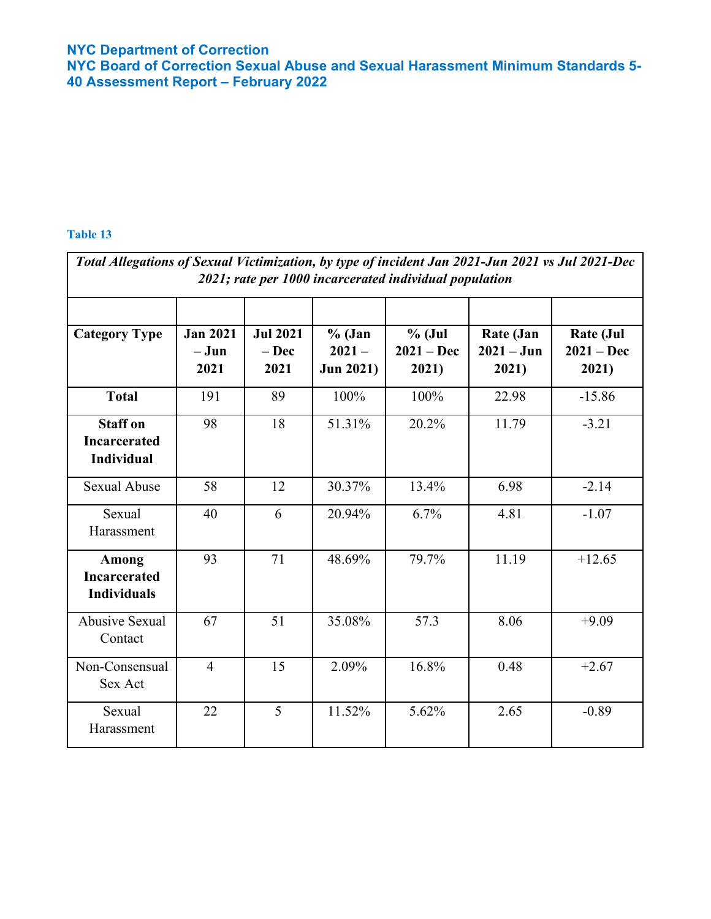**NYC Board of Correction Sexual Abuse and Sexual Harassment Minimum Standards 5- 40 Assessment Report – February 2022**

| Total Allegations of Sexual Victimization, by type of incident Jan 2021-Jun 2021 vs Jul 2021-Dec<br>2021; rate per 1000 incarcerated individual population |                                   |                                            |                                          |                                   |                                    |                                           |  |  |
|------------------------------------------------------------------------------------------------------------------------------------------------------------|-----------------------------------|--------------------------------------------|------------------------------------------|-----------------------------------|------------------------------------|-------------------------------------------|--|--|
| <b>Category Type</b>                                                                                                                                       | <b>Jan 2021</b><br>$-Jun$<br>2021 | <b>Jul 2021</b><br>$-\mathbf{Dec}$<br>2021 | $%$ (Jan<br>$2021 -$<br><b>Jun 2021)</b> | $%$ (Jul<br>$2021 - Dec$<br>2021) | Rate (Jan<br>$2021 - Jun$<br>2021) | <b>Rate (Jul</b><br>$2021 - Dec$<br>2021) |  |  |
| <b>Total</b>                                                                                                                                               | 191                               | 89                                         | 100%                                     | 100%                              | 22.98                              | $-15.86$                                  |  |  |
| <b>Staff on</b><br><b>Incarcerated</b><br><b>Individual</b>                                                                                                | 98                                | 18                                         | 51.31%                                   | 20.2%                             | 11.79                              | $-3.21$                                   |  |  |
| <b>Sexual Abuse</b>                                                                                                                                        | 58                                | 12                                         | 30.37%                                   | 13.4%                             | 6.98                               | $-2.14$                                   |  |  |
| Sexual<br>Harassment                                                                                                                                       | 40                                | 6                                          | 20.94%                                   | 6.7%                              | 4.81                               | $-1.07$                                   |  |  |
| Among<br><b>Incarcerated</b><br><b>Individuals</b>                                                                                                         | 93                                | 71                                         | 48.69%                                   | 79.7%                             | 11.19                              | $+12.65$                                  |  |  |
| <b>Abusive Sexual</b><br>Contact                                                                                                                           | 67                                | 51                                         | 35.08%                                   | 57.3                              | 8.06                               | $+9.09$                                   |  |  |
| Non-Consensual<br>Sex Act                                                                                                                                  | $\overline{4}$                    | 15                                         | 2.09%                                    | 16.8%                             | 0.48                               | $+2.67$                                   |  |  |
| Sexual<br>Harassment                                                                                                                                       | 22                                | 5                                          | 11.52%                                   | 5.62%                             | 2.65                               | $-0.89$                                   |  |  |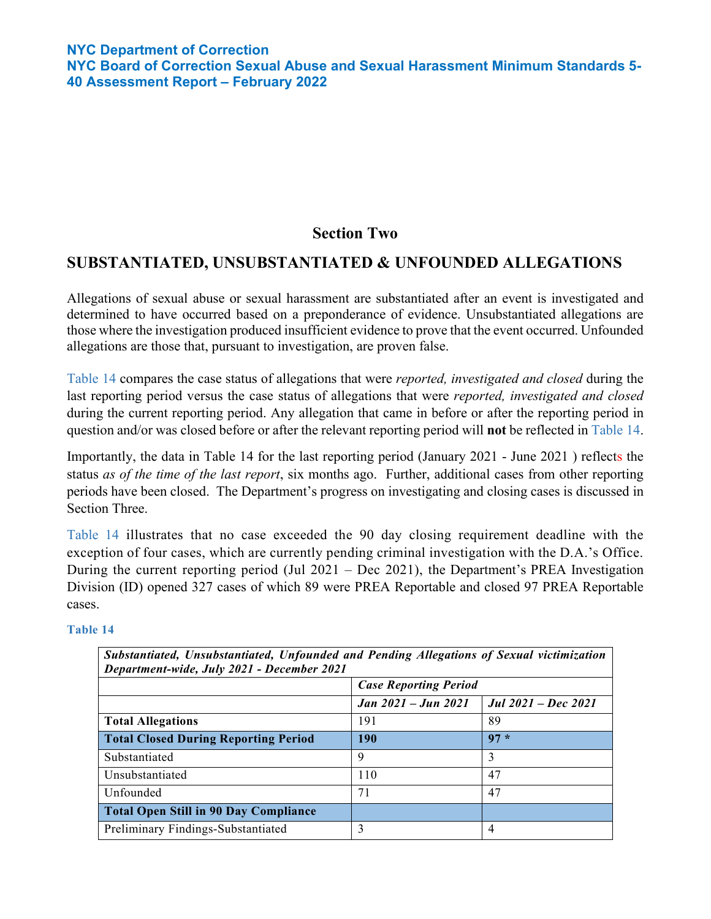## **Section Two**

## **SUBSTANTIATED, UNSUBSTANTIATED & UNFOUNDED ALLEGATIONS**

Allegations of sexual abuse or sexual harassment are substantiated after an event is investigated and determined to have occurred based on a preponderance of evidence. Unsubstantiated allegations are those where the investigation produced insufficient evidence to prove that the event occurred. Unfounded allegations are those that, pursuant to investigation, are proven false.

Table 14 compares the case status of allegations that were *reported, investigated and closed* during the last reporting period versus the case status of allegations that were *reported, investigated and closed*  during the current reporting period. Any allegation that came in before or after the reporting period in question and/or was closed before or after the relevant reporting period will **not** be reflected in Table 14.

Importantly, the data in Table 14 for the last reporting period (January 2021 - June 2021 ) reflects the status *as of the time of the last report*, six months ago. Further, additional cases from other reporting periods have been closed. The Department's progress on investigating and closing cases is discussed in Section Three.

Table 14 illustrates that no case exceeded the 90 day closing requirement deadline with the exception of four cases, which are currently pending criminal investigation with the D.A.'s Office. During the current reporting period (Jul 2021 – Dec 2021), the Department's PREA Investigation Division (ID) opened 327 cases of which 89 were PREA Reportable and closed 97 PREA Reportable cases.

| Substantiated, Unsubstantiated, Unfounded and Pending Allegations of Sexual victimization<br>Department-wide, July 2021 - December 2021 |                              |                            |  |  |  |  |  |  |
|-----------------------------------------------------------------------------------------------------------------------------------------|------------------------------|----------------------------|--|--|--|--|--|--|
|                                                                                                                                         | <b>Case Reporting Period</b> |                            |  |  |  |  |  |  |
|                                                                                                                                         | Jan 2021 – Jun 2021          | <b>Jul 2021 – Dec 2021</b> |  |  |  |  |  |  |
| <b>Total Allegations</b>                                                                                                                | 191                          | 89                         |  |  |  |  |  |  |
| <b>Total Closed During Reporting Period</b>                                                                                             | 190                          | $97 *$                     |  |  |  |  |  |  |
| Substantiated                                                                                                                           | 9                            | 3                          |  |  |  |  |  |  |
| Unsubstantiated                                                                                                                         | 110                          | 47                         |  |  |  |  |  |  |
| Unfounded                                                                                                                               | 71                           | 47                         |  |  |  |  |  |  |
| <b>Total Open Still in 90 Day Compliance</b>                                                                                            |                              |                            |  |  |  |  |  |  |
| Preliminary Findings-Substantiated                                                                                                      | 3                            | 4                          |  |  |  |  |  |  |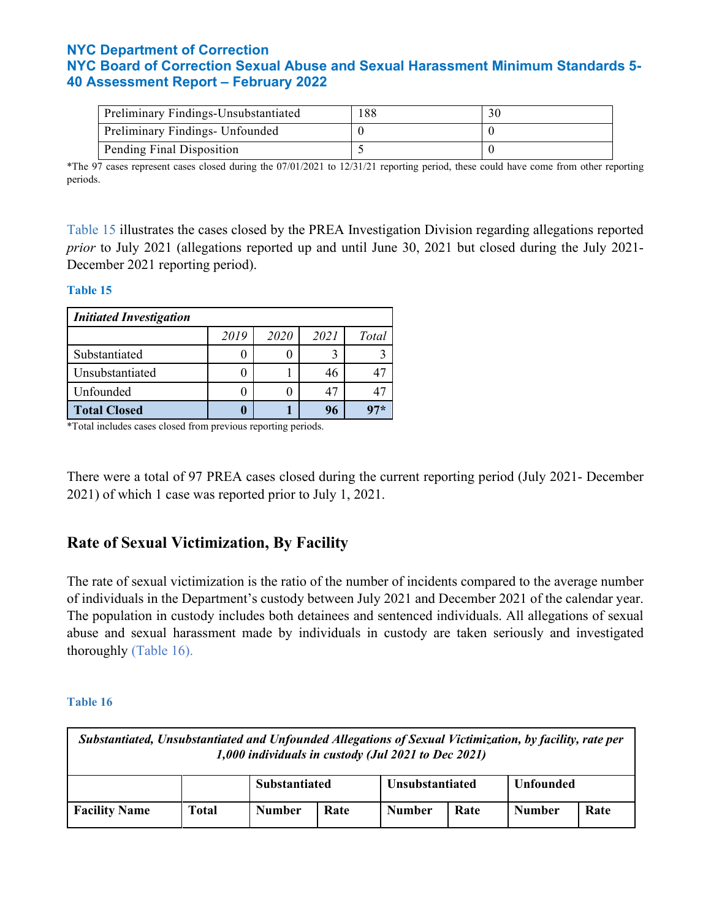| Preliminary Findings-Unsubstantiated | 188 |  |
|--------------------------------------|-----|--|
| Preliminary Findings- Unfounded      |     |  |
| Pending Final Disposition            |     |  |

\*The 97 cases represent cases closed during the 07/01/2021 to 12/31/21 reporting period, these could have come from other reporting periods.

Table 15 illustrates the cases closed by the PREA Investigation Division regarding allegations reported *prior* to July 2021 (allegations reported up and until June 30, 2021 but closed during the July 2021- December 2021 reporting period).

#### **Table 15**

| <b>Initiated Investigation</b> |      |      |      |       |  |  |  |  |  |
|--------------------------------|------|------|------|-------|--|--|--|--|--|
|                                | 2019 | 2020 | 2021 | Total |  |  |  |  |  |
| Substantiated                  |      |      |      |       |  |  |  |  |  |
| Unsubstantiated                |      |      |      |       |  |  |  |  |  |
| Unfounded                      |      |      |      |       |  |  |  |  |  |
| <b>Total Closed</b>            |      |      | 96   |       |  |  |  |  |  |

\*Total includes cases closed from previous reporting periods.

There were a total of 97 PREA cases closed during the current reporting period (July 2021- December 2021) of which 1 case was reported prior to July 1, 2021.

## **Rate of Sexual Victimization, By Facility**

The rate of sexual victimization is the ratio of the number of incidents compared to the average number of individuals in the Department's custody between July 2021 and December 2021 of the calendar year. The population in custody includes both detainees and sentenced individuals. All allegations of sexual abuse and sexual harassment made by individuals in custody are taken seriously and investigated thoroughly (Table 16).

| Substantiated, Unsubstantiated and Unfounded Allegations of Sexual Victimization, by facility, rate per<br>1,000 individuals in custody (Jul 2021 to Dec 2021) |       |                      |                 |               |                  |                       |  |  |  |  |
|----------------------------------------------------------------------------------------------------------------------------------------------------------------|-------|----------------------|-----------------|---------------|------------------|-----------------------|--|--|--|--|
|                                                                                                                                                                |       | <b>Substantiated</b> | Unsubstantiated |               | <b>Unfounded</b> |                       |  |  |  |  |
| <b>Facility Name</b>                                                                                                                                           | Total | <b>Number</b>        | Rate            | <b>Number</b> | Rate             | Rate<br><b>Number</b> |  |  |  |  |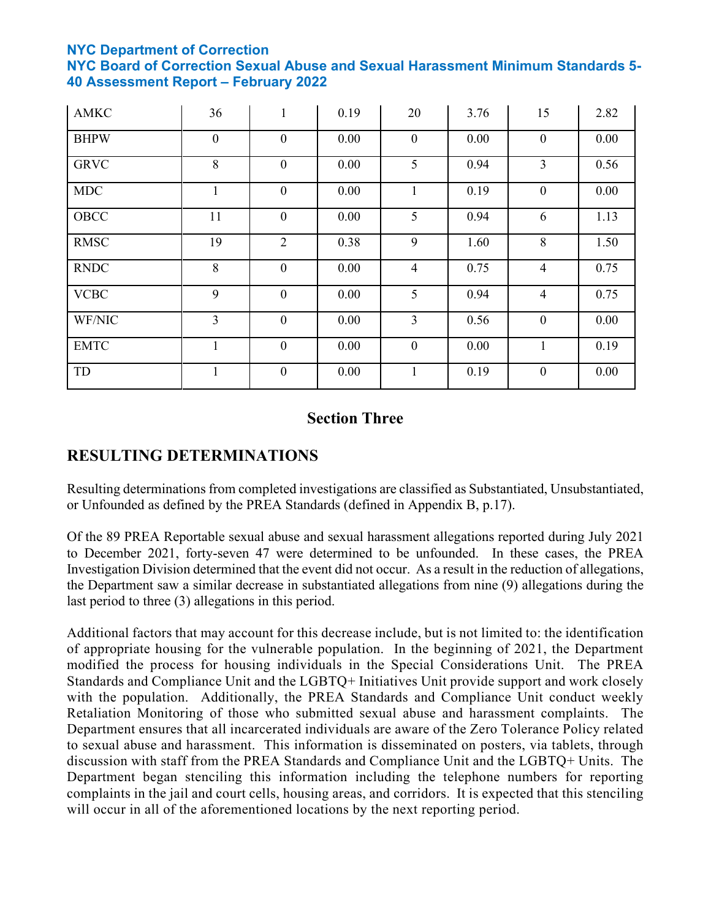**NYC Board of Correction Sexual Abuse and Sexual Harassment Minimum Standards 5- 40 Assessment Report – February 2022**

| <b>AMKC</b> | 36               | $\mathbf{1}$     | 0.19 | 20             | 3.76 | 15               | 2.82 |
|-------------|------------------|------------------|------|----------------|------|------------------|------|
| <b>BHPW</b> | $\boldsymbol{0}$ | $\overline{0}$   | 0.00 | $\mathbf{0}$   | 0.00 | $\mathbf{0}$     | 0.00 |
| <b>GRVC</b> | 8                | $\overline{0}$   | 0.00 | 5              | 0.94 | $\overline{3}$   | 0.56 |
| <b>MDC</b>  | 1                | $\mathbf{0}$     | 0.00 | $\mathbf{1}$   | 0.19 | $\mathbf{0}$     | 0.00 |
| OBCC        | 11               | $\mathbf{0}$     | 0.00 | 5              | 0.94 | 6                | 1.13 |
| <b>RMSC</b> | 19               | $\overline{2}$   | 0.38 | 9              | 1.60 | 8                | 1.50 |
| <b>RNDC</b> | 8                | $\mathbf{0}$     | 0.00 | $\overline{4}$ | 0.75 | $\overline{4}$   | 0.75 |
| <b>VCBC</b> | 9                | $\overline{0}$   | 0.00 | 5 <sup>5</sup> | 0.94 | $\overline{4}$   | 0.75 |
| WF/NIC      | $\overline{3}$   | $\mathbf{0}$     | 0.00 | $\overline{3}$ | 0.56 | $\boldsymbol{0}$ | 0.00 |
| <b>EMTC</b> | 1                | $\overline{0}$   | 0.00 | $\mathbf{0}$   | 0.00 | $\mathbf{1}$     | 0.19 |
| TD          | 1                | $\boldsymbol{0}$ | 0.00 | $\mathbf{1}$   | 0.19 | $\boldsymbol{0}$ | 0.00 |

## **Section Three**

# **RESULTING DETERMINATIONS**

Resulting determinations from completed investigations are classified as Substantiated, Unsubstantiated, or Unfounded as defined by the PREA Standards (defined in Appendix B, p.17).

Of the 89 PREA Reportable sexual abuse and sexual harassment allegations reported during July 2021 to December 2021, forty-seven 47 were determined to be unfounded. In these cases, the PREA Investigation Division determined that the event did not occur. As a result in the reduction of allegations, the Department saw a similar decrease in substantiated allegations from nine (9) allegations during the last period to three (3) allegations in this period.

Additional factors that may account for this decrease include, but is not limited to: the identification of appropriate housing for the vulnerable population. In the beginning of 2021, the Department modified the process for housing individuals in the Special Considerations Unit. The PREA Standards and Compliance Unit and the LGBTQ+ Initiatives Unit provide support and work closely with the population. Additionally, the PREA Standards and Compliance Unit conduct weekly Retaliation Monitoring of those who submitted sexual abuse and harassment complaints. The Department ensures that all incarcerated individuals are aware of the Zero Tolerance Policy related to sexual abuse and harassment. This information is disseminated on posters, via tablets, through discussion with staff from the PREA Standards and Compliance Unit and the LGBTQ+ Units. The Department began stenciling this information including the telephone numbers for reporting complaints in the jail and court cells, housing areas, and corridors. It is expected that this stenciling will occur in all of the aforementioned locations by the next reporting period.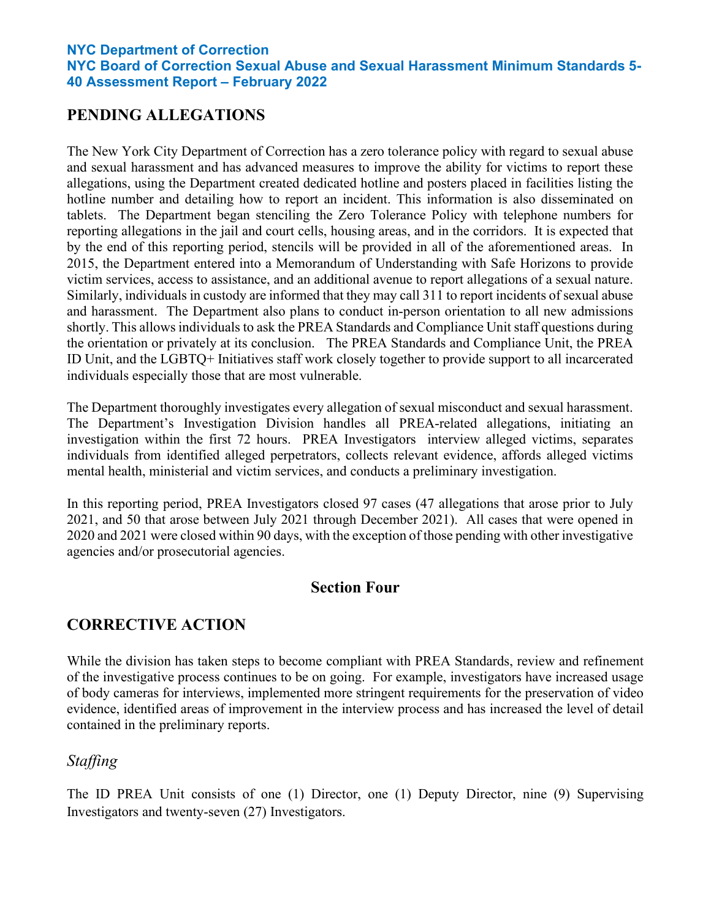## **PENDING ALLEGATIONS**

The New York City Department of Correction has a zero tolerance policy with regard to sexual abuse and sexual harassment and has advanced measures to improve the ability for victims to report these allegations, using the Department created dedicated hotline and posters placed in facilities listing the hotline number and detailing how to report an incident. This information is also disseminated on tablets. The Department began stenciling the Zero Tolerance Policy with telephone numbers for reporting allegations in the jail and court cells, housing areas, and in the corridors. It is expected that by the end of this reporting period, stencils will be provided in all of the aforementioned areas. In 2015, the Department entered into a Memorandum of Understanding with Safe Horizons to provide victim services, access to assistance, and an additional avenue to report allegations of a sexual nature. Similarly, individuals in custody are informed that they may call 311 to report incidents of sexual abuse and harassment. The Department also plans to conduct in-person orientation to all new admissions shortly. This allows individuals to ask the PREA Standards and Compliance Unit staff questions during the orientation or privately at its conclusion. The PREA Standards and Compliance Unit, the PREA ID Unit, and the LGBTQ+ Initiatives staff work closely together to provide support to all incarcerated individuals especially those that are most vulnerable.

The Department thoroughly investigates every allegation of sexual misconduct and sexual harassment. The Department's Investigation Division handles all PREA-related allegations, initiating an investigation within the first 72 hours. PREA Investigators interview alleged victims, separates individuals from identified alleged perpetrators, collects relevant evidence, affords alleged victims mental health, ministerial and victim services, and conducts a preliminary investigation.

In this reporting period, PREA Investigators closed 97 cases (47 allegations that arose prior to July 2021, and 50 that arose between July 2021 through December 2021). All cases that were opened in 2020 and 2021 were closed within 90 days, with the exception of those pending with other investigative agencies and/or prosecutorial agencies.

### **Section Four**

## **CORRECTIVE ACTION**

While the division has taken steps to become compliant with PREA Standards, review and refinement of the investigative process continues to be on going. For example, investigators have increased usage of body cameras for interviews, implemented more stringent requirements for the preservation of video evidence, identified areas of improvement in the interview process and has increased the level of detail contained in the preliminary reports.

## *Staffing*

The ID PREA Unit consists of one (1) Director, one (1) Deputy Director, nine (9) Supervising Investigators and twenty-seven (27) Investigators.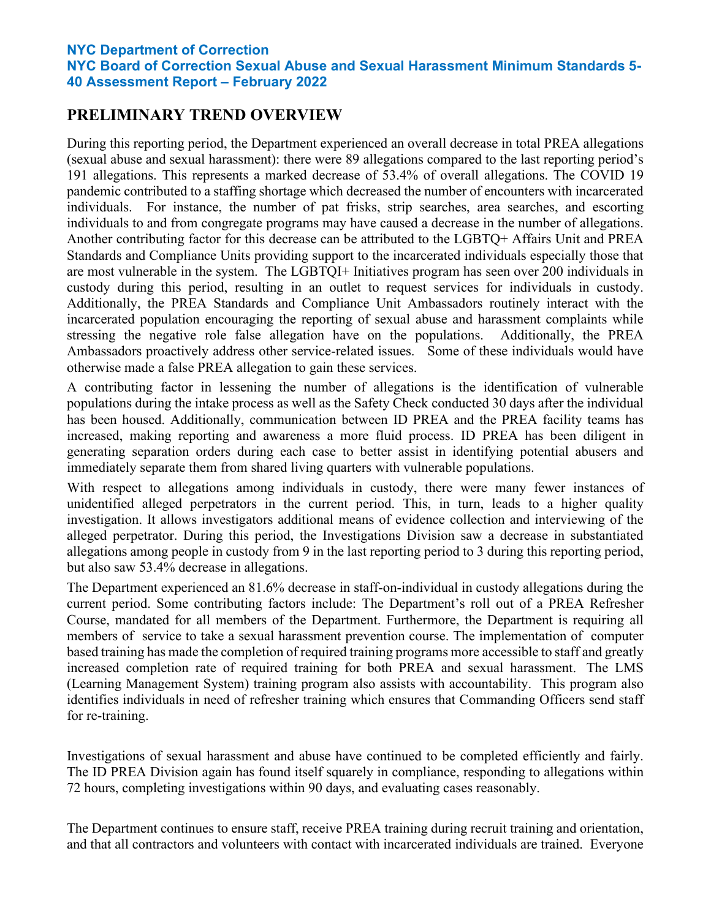# **PRELIMINARY TREND OVERVIEW**

During this reporting period, the Department experienced an overall decrease in total PREA allegations (sexual abuse and sexual harassment): there were 89 allegations compared to the last reporting period's 191 allegations. This represents a marked decrease of 53.4% of overall allegations. The COVID 19 pandemic contributed to a staffing shortage which decreased the number of encounters with incarcerated individuals. For instance, the number of pat frisks, strip searches, area searches, and escorting individuals to and from congregate programs may have caused a decrease in the number of allegations. Another contributing factor for this decrease can be attributed to the LGBTQ+ Affairs Unit and PREA Standards and Compliance Units providing support to the incarcerated individuals especially those that are most vulnerable in the system. The LGBTQI+ Initiatives program has seen over 200 individuals in custody during this period, resulting in an outlet to request services for individuals in custody. Additionally, the PREA Standards and Compliance Unit Ambassadors routinely interact with the incarcerated population encouraging the reporting of sexual abuse and harassment complaints while stressing the negative role false allegation have on the populations. Additionally, the PREA Ambassadors proactively address other service-related issues. Some of these individuals would have otherwise made a false PREA allegation to gain these services.

A contributing factor in lessening the number of allegations is the identification of vulnerable populations during the intake process as well as the Safety Check conducted 30 days after the individual has been housed. Additionally, communication between ID PREA and the PREA facility teams has increased, making reporting and awareness a more fluid process. ID PREA has been diligent in generating separation orders during each case to better assist in identifying potential abusers and immediately separate them from shared living quarters with vulnerable populations.

With respect to allegations among individuals in custody, there were many fewer instances of unidentified alleged perpetrators in the current period. This, in turn, leads to a higher quality investigation. It allows investigators additional means of evidence collection and interviewing of the alleged perpetrator. During this period, the Investigations Division saw a decrease in substantiated allegations among people in custody from 9 in the last reporting period to 3 during this reporting period, but also saw 53.4% decrease in allegations.

The Department experienced an 81.6% decrease in staff-on-individual in custody allegations during the current period. Some contributing factors include: The Department's roll out of a PREA Refresher Course, mandated for all members of the Department. Furthermore, the Department is requiring all members of service to take a sexual harassment prevention course. The implementation of computer based training has made the completion of required training programs more accessible to staff and greatly increased completion rate of required training for both PREA and sexual harassment. The LMS (Learning Management System) training program also assists with accountability. This program also identifies individuals in need of refresher training which ensures that Commanding Officers send staff for re-training.

Investigations of sexual harassment and abuse have continued to be completed efficiently and fairly. The ID PREA Division again has found itself squarely in compliance, responding to allegations within 72 hours, completing investigations within 90 days, and evaluating cases reasonably.

The Department continues to ensure staff, receive PREA training during recruit training and orientation, and that all contractors and volunteers with contact with incarcerated individuals are trained. Everyone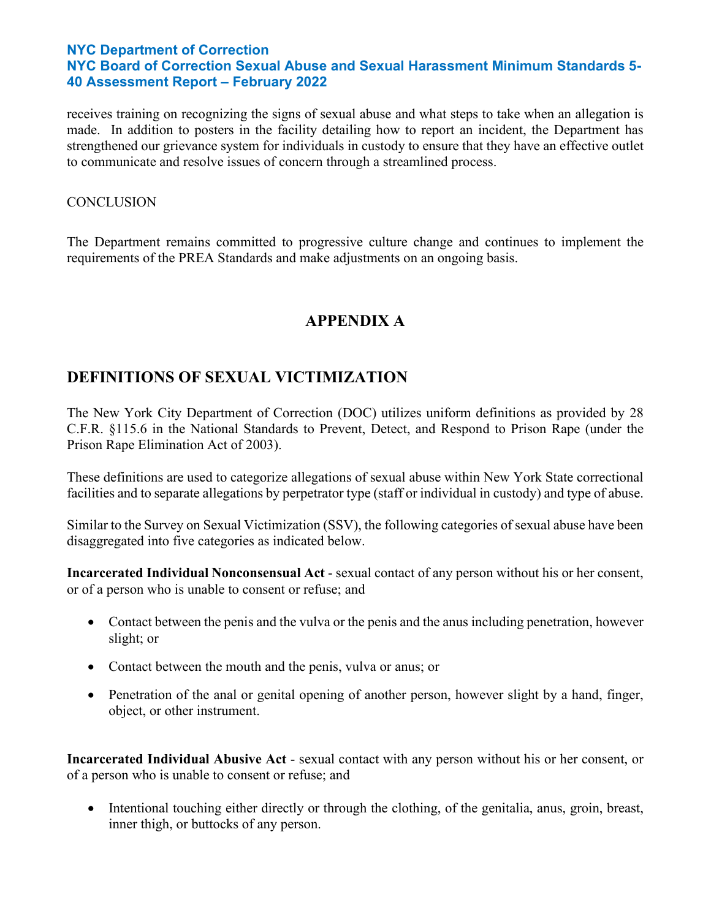receives training on recognizing the signs of sexual abuse and what steps to take when an allegation is made. In addition to posters in the facility detailing how to report an incident, the Department has strengthened our grievance system for individuals in custody to ensure that they have an effective outlet to communicate and resolve issues of concern through a streamlined process.

#### **CONCLUSION**

The Department remains committed to progressive culture change and continues to implement the requirements of the PREA Standards and make adjustments on an ongoing basis.

# **APPENDIX A**

# **DEFINITIONS OF SEXUAL VICTIMIZATION**

The New York City Department of Correction (DOC) utilizes uniform definitions as provided by 28 C.F.R. §115.6 in the National Standards to Prevent, Detect, and Respond to Prison Rape (under the Prison Rape Elimination Act of 2003).

These definitions are used to categorize allegations of sexual abuse within New York State correctional facilities and to separate allegations by perpetrator type (staff or individual in custody) and type of abuse.

Similar to the Survey on Sexual Victimization (SSV), the following categories of sexual abuse have been disaggregated into five categories as indicated below.

**Incarcerated Individual Nonconsensual Act** - sexual contact of any person without his or her consent, or of a person who is unable to consent or refuse; and

- Contact between the penis and the vulva or the penis and the anus including penetration, however slight; or
- Contact between the mouth and the penis, vulva or anus; or
- Penetration of the anal or genital opening of another person, however slight by a hand, finger, object, or other instrument.

**Incarcerated Individual Abusive Act** - sexual contact with any person without his or her consent, or of a person who is unable to consent or refuse; and

• Intentional touching either directly or through the clothing, of the genitalia, anus, groin, breast, inner thigh, or buttocks of any person.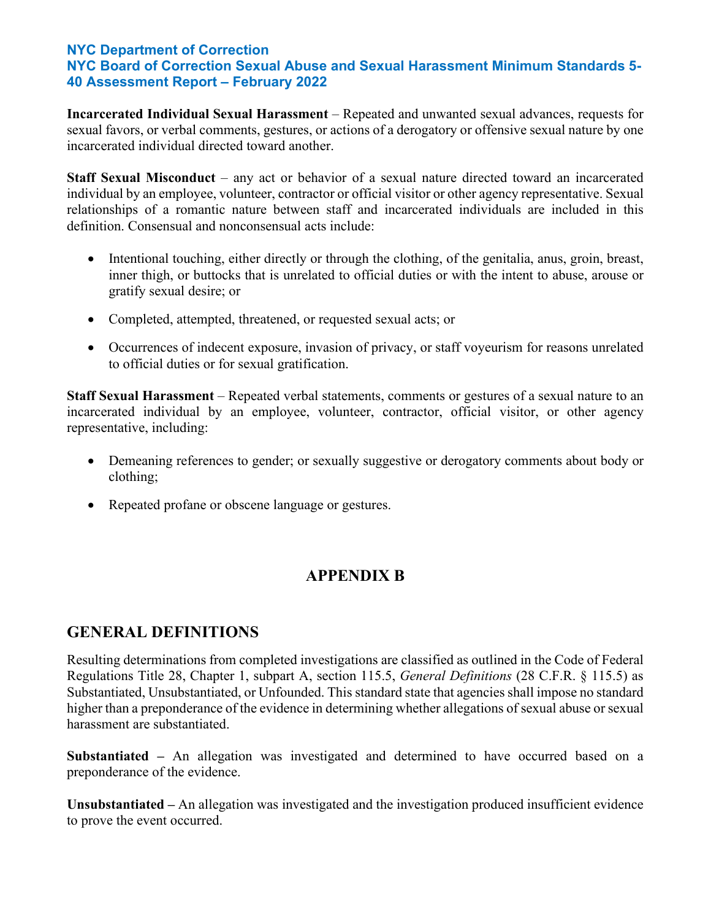**Incarcerated Individual Sexual Harassment** – Repeated and unwanted sexual advances, requests for sexual favors, or verbal comments, gestures, or actions of a derogatory or offensive sexual nature by one incarcerated individual directed toward another.

**Staff Sexual Misconduct** – any act or behavior of a sexual nature directed toward an incarcerated individual by an employee, volunteer, contractor or official visitor or other agency representative. Sexual relationships of a romantic nature between staff and incarcerated individuals are included in this definition. Consensual and nonconsensual acts include:

- Intentional touching, either directly or through the clothing, of the genitalia, anus, groin, breast, inner thigh, or buttocks that is unrelated to official duties or with the intent to abuse, arouse or gratify sexual desire; or
- Completed, attempted, threatened, or requested sexual acts; or
- Occurrences of indecent exposure, invasion of privacy, or staff voyeurism for reasons unrelated to official duties or for sexual gratification.

**Staff Sexual Harassment** – Repeated verbal statements, comments or gestures of a sexual nature to an incarcerated individual by an employee, volunteer, contractor, official visitor, or other agency representative, including:

- Demeaning references to gender; or sexually suggestive or derogatory comments about body or clothing;
- Repeated profane or obscene language or gestures.

# **APPENDIX B**

## **GENERAL DEFINITIONS**

Resulting determinations from completed investigations are classified as outlined in the Code of Federal Regulations Title 28, Chapter 1, subpart A, section 115.5, *General Definitions* (28 C.F.R. § 115.5) as Substantiated, Unsubstantiated, or Unfounded. This standard state that agencies shall impose no standard higher than a preponderance of the evidence in determining whether allegations of sexual abuse or sexual harassment are substantiated.

**Substantiated –** An allegation was investigated and determined to have occurred based on a preponderance of the evidence.

**Unsubstantiated –** An allegation was investigated and the investigation produced insufficient evidence to prove the event occurred.